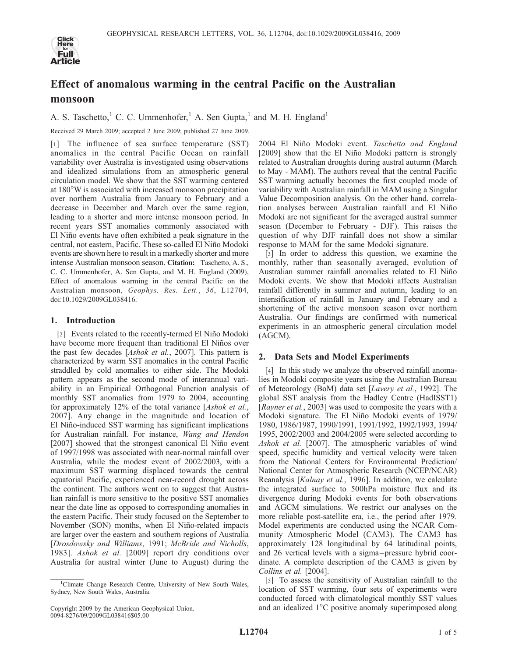

# Effect of anomalous warming in the central Pacific on the Australian monsoon

A. S. Taschetto,<sup>1</sup> C. C. Ummenhofer,<sup>1</sup> A. Sen Gupta,<sup>1</sup> and M. H. England<sup>1</sup>

Received 29 March 2009; accepted 2 June 2009; published 27 June 2009.

[1] The influence of sea surface temperature (SST) anomalies in the central Pacific Ocean on rainfall variability over Australia is investigated using observations and idealized simulations from an atmospheric general circulation model. We show that the SST warming centered at 180°W is associated with increased monsoon precipitation over northern Australia from January to February and a decrease in December and March over the same region, leading to a shorter and more intense monsoon period. In recent years SST anomalies commonly associated with El Niño events have often exhibited a peak signature in the central, not eastern, Pacific. These so-called El Niño Modoki events are shown here to result in a markedly shorter and more intense Australian monsoon season. Citation: Taschetto, A. S., C. C. Ummenhofer, A. Sen Gupta, and M. H. England (2009), Effect of anomalous warming in the central Pacific on the Australian monsoon, Geophys. Res. Lett., 36, L12704, doi:10.1029/2009GL038416.

## 1. Introduction

[2] Events related to the recently-termed El Niño Modoki have become more frequent than traditional El Niños over the past few decades [Ashok et al., 2007]. This pattern is characterized by warm SST anomalies in the central Pacific straddled by cold anomalies to either side. The Modoki pattern appears as the second mode of interannual variability in an Empirical Orthogonal Function analysis of monthly SST anomalies from 1979 to 2004, accounting for approximately 12% of the total variance [Ashok et al., 2007]. Any change in the magnitude and location of El Niño-induced SST warming has significant implications for Australian rainfall. For instance, Wang and Hendon [2007] showed that the strongest canonical El Niño event of 1997/1998 was associated with near-normal rainfall over Australia, while the modest event of 2002/2003, with a maximum SST warming displaced towards the central equatorial Pacific, experienced near-record drought across the continent. The authors went on to suggest that Australian rainfall is more sensitive to the positive SST anomalies near the date line as opposed to corresponding anomalies in the eastern Pacific. Their study focused on the September to November (SON) months, when El Niño-related impacts are larger over the eastern and southern regions of Australia [Drosdowsky and Williams, 1991; McBride and Nicholls, 1983]. Ashok et al. [2009] report dry conditions over Australia for austral winter (June to August) during the

2004 El Niño Modoki event. Taschetto and England [2009] show that the El Niño Modoki pattern is strongly related to Australian droughts during austral autumn (March to May - MAM). The authors reveal that the central Pacific SST warming actually becomes the first coupled mode of variability with Australian rainfall in MAM using a Singular Value Decomposition analysis. On the other hand, correlation analyses between Australian rainfall and El Niño Modoki are not significant for the averaged austral summer season (December to February - DJF). This raises the question of why DJF rainfall does not show a similar response to MAM for the same Modoki signature.

[3] In order to address this question, we examine the monthly, rather than seasonally averaged, evolution of Australian summer rainfall anomalies related to El Niño Modoki events. We show that Modoki affects Australian rainfall differently in summer and autumn, leading to an intensification of rainfall in January and February and a shortening of the active monsoon season over northern Australia. Our findings are confirmed with numerical experiments in an atmospheric general circulation model (AGCM).

## 2. Data Sets and Model Experiments

[4] In this study we analyze the observed rainfall anomalies in Modoki composite years using the Australian Bureau of Meteorology (BoM) data set [Lavery et al., 1992]. The global SST analysis from the Hadley Centre (HadISST1) [Rayner et al., 2003] was used to composite the years with a Modoki signature. The El Niño Modoki events of 1979/ 1980, 1986/1987, 1990/1991, 1991/1992, 1992/1993, 1994/ 1995, 2002/2003 and 2004/2005 were selected according to Ashok et al. [2007]. The atmospheric variables of wind speed, specific humidity and vertical velocity were taken from the National Centers for Environmental Prediction/ National Center for Atmospheric Research (NCEP/NCAR) Reanalysis [Kalnay et al., 1996]. In addition, we calculate the integrated surface to 500hPa moisture flux and its divergence during Modoki events for both observations and AGCM simulations. We restrict our analyses on the more reliable post-satellite era, i.e., the period after 1979. Model experiments are conducted using the NCAR Community Atmospheric Model (CAM3). The CAM3 has approximately 128 longitudinal by 64 latitudinal points, and 26 vertical levels with a sigma-pressure hybrid coordinate. A complete description of the CAM3 is given by Collins et al. [2004].

[5] To assess the sensitivity of Australian rainfall to the location of SST warming, four sets of experiments were conducted forced with climatological monthly SST values and an idealized  $1^{\circ}$ C positive anomaly superimposed along

<sup>&</sup>lt;sup>1</sup>Climate Change Research Centre, University of New South Wales, Sydney, New South Wales, Australia.

Copyright 2009 by the American Geophysical Union. 0094-8276/09/2009GL038416\$05.00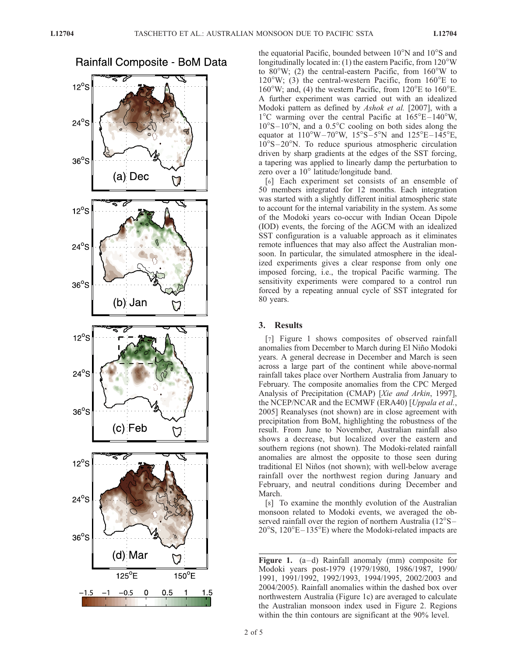**Rainfall Composite - BoM Data**  $12^{\circ}$ S  $24^\circ$ S  $36°S$ (a) Dec  $12^{\circ}$ S  $24^\circ$ S  $36^\circ$ S (b) Jan  $12^{\circ}$ S  $24^{\circ}$ S  $36^\circ$ S (c) Feb  $12^{\circ}$ S  $24^{\circ}$ S  $36^\circ$ S (d) Mar  $\Delta$  $125^{\circ}E$  $150^{\circ}E$  $-0.5$  $\pmb{0}$  $-1.5$ 0.5  $1.5$ 

the equatorial Pacific, bounded between  $10^{\circ}$ N and  $10^{\circ}$ S and longitudinally located in: (1) the eastern Pacific, from  $120^{\circ}$ W to  $80^{\circ}$ W; (2) the central-eastern Pacific, from  $160^{\circ}$ W to  $120^{\circ}$ W; (3) the central-western Pacific, from  $160^{\circ}$ E to  $160^{\circ}$ W; and, (4) the western Pacific, from  $120^{\circ}$ E to  $160^{\circ}$ E. A further experiment was carried out with an idealized Modoki pattern as defined by Ashok et al. [2007], with a  $1^{\circ}$ C warming over the central Pacific at  $165^{\circ}E - 140^{\circ}W$ ,  $10^{\circ}S - 10^{\circ}N$ , and a 0.5<sup>o</sup>C cooling on both sides along the equator at  $110^{\circ}\text{W} - 70^{\circ}\text{W}$ ,  $15^{\circ}\text{S} - 5^{\circ}\text{N}$  and  $125^{\circ}\text{E} - 145^{\circ}\text{E}$ ,  $10^{\circ}S - 20^{\circ}N$ . To reduce spurious atmospheric circulation driven by sharp gradients at the edges of the SST forcing, a tapering was applied to linearly damp the perturbation to zero over a 10° latitude/longitude band.

[6] Each experiment set consists of an ensemble of 50 members integrated for 12 months. Each integration was started with a slightly different initial atmospheric state to account for the internal variability in the system. As some of the Modoki years co-occur with Indian Ocean Dipole (IOD) events, the forcing of the AGCM with an idealized SST configuration is a valuable approach as it eliminates remote influences that may also affect the Australian monsoon. In particular, the simulated atmosphere in the idealized experiments gives a clear response from only one imposed forcing, i.e., the tropical Pacific warming. The sensitivity experiments were compared to a control run forced by a repeating annual cycle of SST integrated for 80 years.

#### 3. Results

[7] Figure 1 shows composites of observed rainfall anomalies from December to March during El Niño Modoki years. A general decrease in December and March is seen across a large part of the continent while above-normal rainfall takes place over Northern Australia from January to February. The composite anomalies from the CPC Merged Analysis of Precipitation (CMAP) [Xie and Arkin, 1997], the NCEP/NCAR and the ECMWF (ERA40) [Uppala et al., 2005] Reanalyses (not shown) are in close agreement with precipitation from BoM, highlighting the robustness of the result. From June to November, Australian rainfall also shows a decrease, but localized over the eastern and southern regions (not shown). The Modoki-related rainfall anomalies are almost the opposite to those seen during traditional El Niños (not shown); with well-below average rainfall over the northwest region during January and February, and neutral conditions during December and March.

[8] To examine the monthly evolution of the Australian monsoon related to Modoki events, we averaged the observed rainfall over the region of northern Australia  $(12^{\circ}S 20^{\circ}$ S,  $120^{\circ}E-135^{\circ}E$ ) where the Modoki-related impacts are

Figure 1.  $(a-d)$  Rainfall anomaly (mm) composite for Modoki years post-1979 (1979/1980, 1986/1987, 1990/ 1991, 1991/1992, 1992/1993, 1994/1995, 2002/2003 and 2004/2005). Rainfall anomalies within the dashed box over northwestern Australia (Figure 1c) are averaged to calculate the Australian monsoon index used in Figure 2. Regions within the thin contours are significant at the 90% level.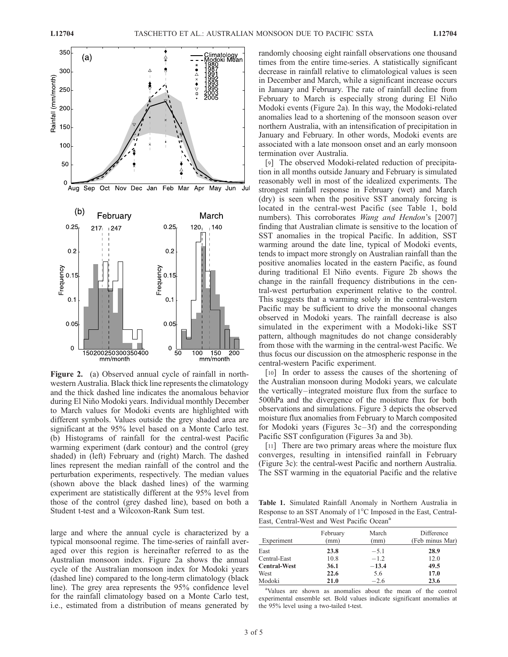

Figure 2. (a) Observed annual cycle of rainfall in northwestern Australia. Black thick line represents the climatology and the thick dashed line indicates the anomalous behavior during El Niño Modoki years. Individual monthly December to March values for Modoki events are highlighted with different symbols. Values outside the grey shaded area are significant at the 95% level based on a Monte Carlo test. (b) Histograms of rainfall for the central-west Pacific warming experiment (dark contour) and the control (grey shaded) in (left) February and (right) March. The dashed lines represent the median rainfall of the control and the perturbation experiments, respectively. The median values (shown above the black dashed lines) of the warming experiment are statistically different at the 95% level from those of the control (grey dashed line), based on both a Student t-test and a Wilcoxon-Rank Sum test.

large and where the annual cycle is characterized by a typical monsoonal regime. The time-series of rainfall averaged over this region is hereinafter referred to as the Australian monsoon index. Figure 2a shows the annual cycle of the Australian monsoon index for Modoki years (dashed line) compared to the long-term climatology (black line). The grey area represents the 95% confidence level for the rainfall climatology based on a Monte Carlo test, i.e., estimated from a distribution of means generated by randomly choosing eight rainfall observations one thousand times from the entire time-series. A statistically significant decrease in rainfall relative to climatological values is seen in December and March, while a significant increase occurs in January and February. The rate of rainfall decline from February to March is especially strong during El Niño Modoki events (Figure 2a). In this way, the Modoki-related anomalies lead to a shortening of the monsoon season over northern Australia, with an intensification of precipitation in January and February. In other words, Modoki events are associated with a late monsoon onset and an early monsoon termination over Australia.

[9] The observed Modoki-related reduction of precipitation in all months outside January and February is simulated reasonably well in most of the idealized experiments. The strongest rainfall response in February (wet) and March (dry) is seen when the positive SST anomaly forcing is located in the central-west Pacific (see Table 1, bold numbers). This corroborates *Wang and Hendon's* [2007] finding that Australian climate is sensitive to the location of SST anomalies in the tropical Pacific. In addition, SST warming around the date line, typical of Modoki events, tends to impact more strongly on Australian rainfall than the positive anomalies located in the eastern Pacific, as found during traditional El Niño events. Figure 2b shows the change in the rainfall frequency distributions in the central-west perturbation experiment relative to the control. This suggests that a warming solely in the central-western Pacific may be sufficient to drive the monsoonal changes observed in Modoki years. The rainfall decrease is also simulated in the experiment with a Modoki-like SST pattern, although magnitudes do not change considerably from those with the warming in the central-west Pacific. We thus focus our discussion on the atmospheric response in the central-western Pacific experiment.

[10] In order to assess the causes of the shortening of the Australian monsoon during Modoki years, we calculate the vertically –integrated moisture flux from the surface to 500hPa and the divergence of the moisture flux for both observations and simulations. Figure 3 depicts the observed moisture flux anomalies from February to March composited for Modoki years (Figures  $3c-3f$ ) and the corresponding Pacific SST configuration (Figures 3a and 3b).

[11] There are two primary areas where the moisture flux converges, resulting in intensified rainfall in February (Figure 3c): the central-west Pacific and northern Australia. The SST warming in the equatorial Pacific and the relative

Table 1. Simulated Rainfall Anomaly in Northern Australia in Response to an SST Anomaly of 1<sup>°</sup>C Imposed in the East, Central-East, Central-West and West Pacific Ocean<sup>a</sup>

| Experiment          | February<br>(mm) | March<br>(mm) | Difference<br>(Feb minus Mar) |
|---------------------|------------------|---------------|-------------------------------|
| East                | 23.8             | $-5.1$        | 28.9                          |
| Central-East        | 10.8             | $-1.2$        | 12.0                          |
| <b>Central-West</b> | 36.1             | $-13.4$       | 49.5                          |
| West                | 22.6             | 5.6           | 17.0                          |
| Modoki              | 21.0             | $-2.6$        | 23.6                          |

a Values are shown as anomalies about the mean of the control experimental ensemble set. Bold values indicate significant anomalies at the 95% level using a two-tailed t-test.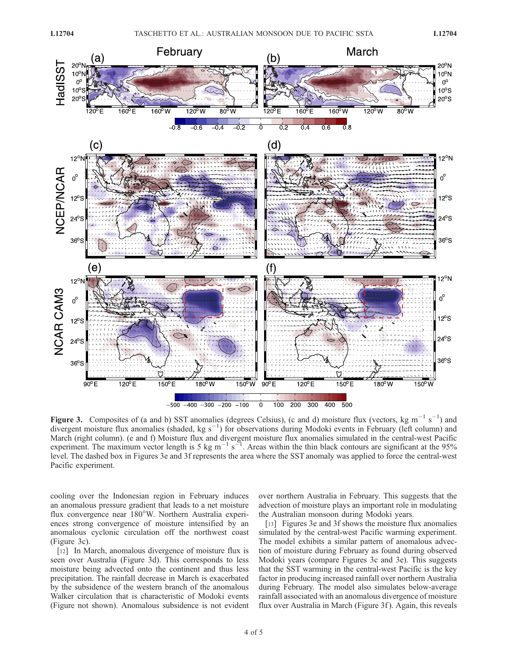

Figure 3. Composites of (a and b) SST anomalies (degrees Celsius), (c and d) moisture flux (vectors, kg m<sup>-1</sup> s<sup>-1</sup>) and divergent moisture flux anomalies (shaded, kg s<sup>-1</sup>) for observations during Modoki events in February (left column) and March (right column). (e and f) Moisture flux and divergent moisture flux anomalies simulated in the central-west Pacific experiment. The maximum vector length is 5 kg m<sup>-1</sup> s<sup>-1</sup>. Areas within the thin black contours are significant at the 95% level. The dashed box in Figures 3e and 3f represents the area where the SST anomaly was applied to force the central-west Pacific experiment.

cooling over the Indonesian region in February induces an anomalous pressure gradient that leads to a net moisture flux convergence near 180°W. Northern Australia experiences strong convergence of moisture intensified by an anomalous cyclonic circulation off the northwest coast (Figure 3c).

[12] In March, anomalous divergence of moisture flux is seen over Australia (Figure 3d). This corresponds to less moisture being advected onto the continent and thus less precipitation. The rainfall decrease in March is exacerbated by the subsidence of the western branch of the anomalous Walker circulation that is characteristic of Modoki events (Figure not shown). Anomalous subsidence is not evident over northern Australia in February. This suggests that the advection of moisture plays an important role in modulating the Australian monsoon during Modoki years.

[13] Figures 3e and 3f shows the moisture flux anomalies simulated by the central-west Pacific warming experiment. The model exhibits a similar pattern of anomalous advection of moisture during February as found during observed Modoki years (compare Figures 3c and 3e). This suggests that the SST warming in the central-west Pacific is the key factor in producing increased rainfall over northern Australia during February. The model also simulates below-average rainfall associated with an anomalous divergence of moisture flux over Australia in March (Figure 3f). Again, this reveals